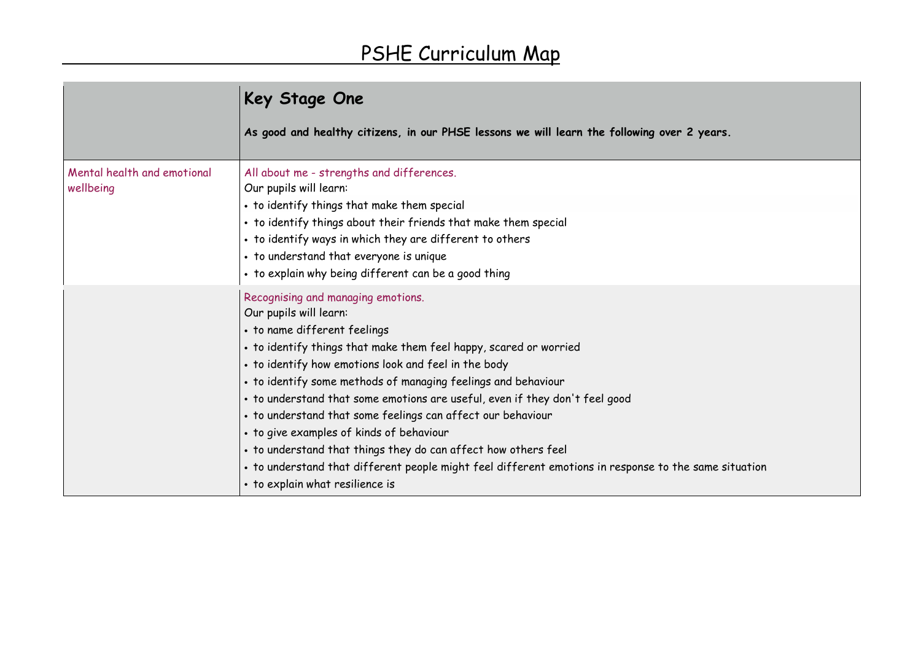|                                          | Key Stage One                                                                                                                                                                                                                                                                                                                                                                                                                                                                                                                                                                                                                                                                                      |
|------------------------------------------|----------------------------------------------------------------------------------------------------------------------------------------------------------------------------------------------------------------------------------------------------------------------------------------------------------------------------------------------------------------------------------------------------------------------------------------------------------------------------------------------------------------------------------------------------------------------------------------------------------------------------------------------------------------------------------------------------|
|                                          | As good and healthy citizens, in our PHSE lessons we will learn the following over 2 years.                                                                                                                                                                                                                                                                                                                                                                                                                                                                                                                                                                                                        |
| Mental health and emotional<br>wellbeing | All about me - strengths and differences.<br>Our pupils will learn:<br>• to identify things that make them special<br>• to identify things about their friends that make them special<br>• to identify ways in which they are different to others<br>• to understand that everyone is unique<br>• to explain why being different can be a good thing                                                                                                                                                                                                                                                                                                                                               |
|                                          | Recognising and managing emotions.<br>Our pupils will learn:<br>• to name different feelings<br>• to identify things that make them feel happy, scared or worried<br>• to identify how emotions look and feel in the body<br>• to identify some methods of managing feelings and behaviour<br>• to understand that some emotions are useful, even if they don't feel good<br>• to understand that some feelings can affect our behaviour<br>• to give examples of kinds of behaviour<br>• to understand that things they do can affect how others feel<br>• to understand that different people might feel different emotions in response to the same situation<br>• to explain what resilience is |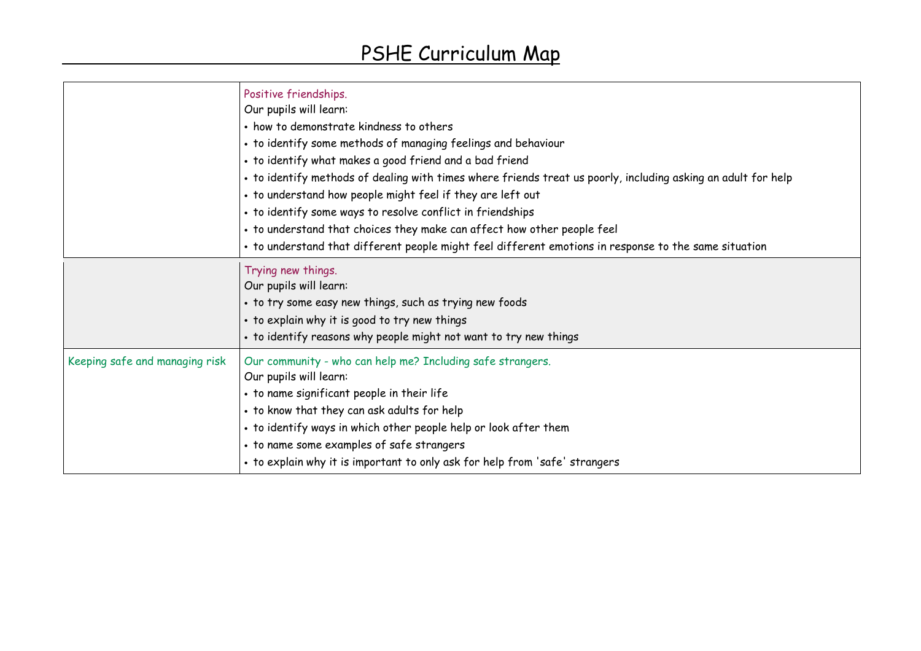|                                | Positive friendships.<br>Our pupils will learn:<br>• how to demonstrate kindness to others<br>• to identify some methods of managing feelings and behaviour<br>• to identify what makes a good friend and a bad friend<br>. to identify methods of dealing with times where friends treat us poorly, including asking an adult for help<br>• to understand how people might feel if they are left out<br>• to identify some ways to resolve conflict in friendships<br>• to understand that choices they make can affect how other people feel<br>• to understand that different people might feel different emotions in response to the same situation |
|--------------------------------|---------------------------------------------------------------------------------------------------------------------------------------------------------------------------------------------------------------------------------------------------------------------------------------------------------------------------------------------------------------------------------------------------------------------------------------------------------------------------------------------------------------------------------------------------------------------------------------------------------------------------------------------------------|
|                                | Trying new things.<br>Our pupils will learn:<br>• to try some easy new things, such as trying new foods<br>• to explain why it is good to try new things<br>• to identify reasons why people might not want to try new things                                                                                                                                                                                                                                                                                                                                                                                                                           |
| Keeping safe and managing risk | Our community - who can help me? Including safe strangers.<br>Our pupils will learn:<br>• to name significant people in their life<br>• to know that they can ask adults for help<br>• to identify ways in which other people help or look after them<br>• to name some examples of safe strangers<br>• to explain why it is important to only ask for help from 'safe' strangers                                                                                                                                                                                                                                                                       |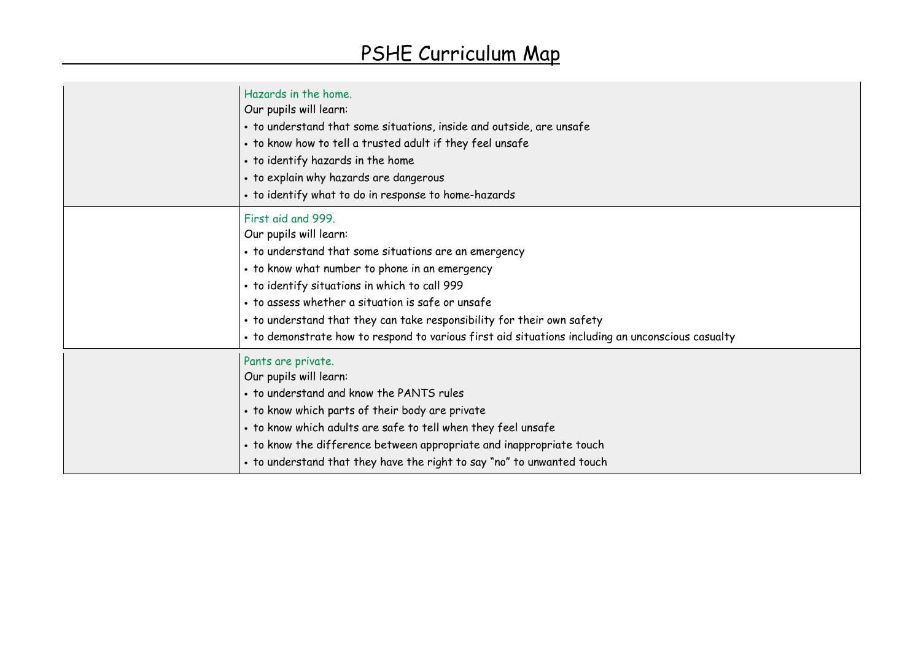| Hazards in the home.<br>Our pupils will learn:<br>• to understand that some situations, inside and outside, are unsafe<br>. to know how to tell a trusted adult if they feel unsafe<br>• to identify hazards in the home<br>• to explain why hazards are dangerous<br>• to identify what to do in response to home-hazards                                                                                                                   |
|----------------------------------------------------------------------------------------------------------------------------------------------------------------------------------------------------------------------------------------------------------------------------------------------------------------------------------------------------------------------------------------------------------------------------------------------|
| First aid and 999.<br>Our pupils will learn:<br>• to understand that some situations are an emergency<br>• to know what number to phone in an emergency<br>. to identify situations in which to call 999<br>• to assess whether a situation is safe or unsafe<br>• to understand that they can take responsibility for their own safety<br>• to demonstrate how to respond to various first aid situations including an unconscious casualty |
| Pants are private.<br>Our pupils will learn:<br>• to understand and know the PANTS rules<br>• to know which parts of their body are private<br>• to know which adults are safe to tell when they feel unsafe<br>• to know the difference between appropriate and inappropriate touch<br>• to understand that they have the right to say "no" to unwanted touch                                                                               |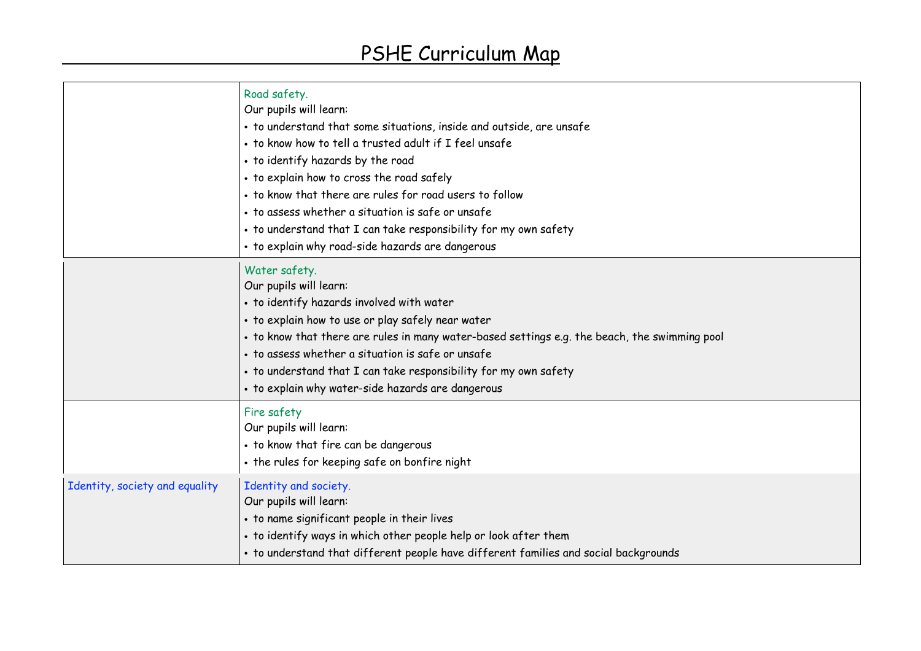|                                | Road safety.<br>Our pupils will learn:<br>· to understand that some situations, inside and outside, are unsafe<br>. to know how to tell a trusted adult if I feel unsafe<br>• to identify hazards by the road<br>• to explain how to cross the road safely<br>• to know that there are rules for road users to follow<br>• to assess whether a situation is safe or unsafe<br>• to understand that I can take responsibility for my own safety<br>• to explain why road-side hazards are dangerous |
|--------------------------------|----------------------------------------------------------------------------------------------------------------------------------------------------------------------------------------------------------------------------------------------------------------------------------------------------------------------------------------------------------------------------------------------------------------------------------------------------------------------------------------------------|
|                                | Water safety.<br>Our pupils will learn:<br>• to identify hazards involved with water<br>· to explain how to use or play safely near water<br>• to know that there are rules in many water-based settings e.g. the beach, the swimming pool<br>• to assess whether a situation is safe or unsafe<br>• to understand that I can take responsibility for my own safety<br>• to explain why water-side hazards are dangerous                                                                           |
|                                | Fire safety<br>Our pupils will learn:<br>• to know that fire can be dangerous<br>• the rules for keeping safe on bonfire night                                                                                                                                                                                                                                                                                                                                                                     |
| Identity, society and equality | Identity and society.<br>Our pupils will learn:<br>• to name significant people in their lives<br>• to identify ways in which other people help or look after them<br>• to understand that different people have different families and social backgrounds                                                                                                                                                                                                                                         |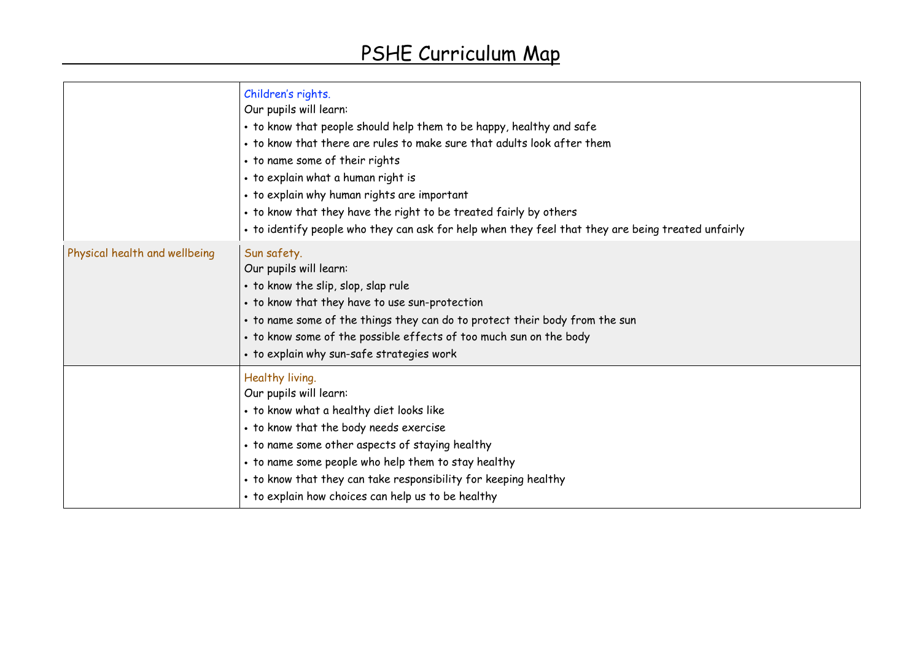|                               | Children's rights.<br>Our pupils will learn:<br>• to know that people should help them to be happy, healthy and safe<br>• to know that there are rules to make sure that adults look after them<br>• to name some of their rights<br>• to explain what a human right is<br>• to explain why human rights are important<br>• to know that they have the right to be treated fairly by others<br>• to identify people who they can ask for help when they feel that they are being treated unfairly |
|-------------------------------|---------------------------------------------------------------------------------------------------------------------------------------------------------------------------------------------------------------------------------------------------------------------------------------------------------------------------------------------------------------------------------------------------------------------------------------------------------------------------------------------------|
| Physical health and wellbeing | Sun safety.<br>Our pupils will learn:<br>• to know the slip, slop, slap rule<br>• to know that they have to use sun-protection<br>• to name some of the things they can do to protect their body from the sun<br>• to know some of the possible effects of too much sun on the body<br>• to explain why sun-safe strategies work                                                                                                                                                                  |
|                               | Healthy living.<br>Our pupils will learn:<br>• to know what a healthy diet looks like<br>• to know that the body needs exercise<br>• to name some other aspects of staying healthy<br>. to name some people who help them to stay healthy<br>• to know that they can take responsibility for keeping healthy<br>• to explain how choices can help us to be healthy                                                                                                                                |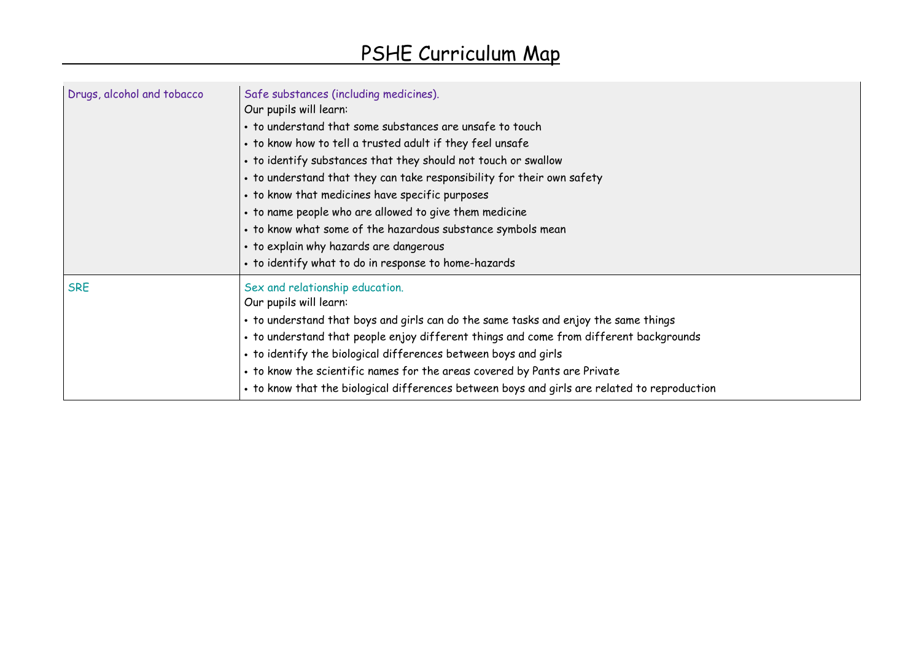| Drugs, alcohol and tobacco | Safe substances (including medicines).<br>Our pupils will learn:<br>• to understand that some substances are unsafe to touch<br>• to know how to tell a trusted adult if they feel unsafe<br>• to identify substances that they should not touch or swallow<br>• to understand that they can take responsibility for their own safety<br>• to know that medicines have specific purposes<br>• to name people who are allowed to give them medicine<br>• to know what some of the hazardous substance symbols mean<br>• to explain why hazards are dangerous<br>· to identify what to do in response to home-hazards |
|----------------------------|---------------------------------------------------------------------------------------------------------------------------------------------------------------------------------------------------------------------------------------------------------------------------------------------------------------------------------------------------------------------------------------------------------------------------------------------------------------------------------------------------------------------------------------------------------------------------------------------------------------------|
| <b>SRE</b>                 | Sex and relationship education.<br>Our pupils will learn:<br>• to understand that boys and girls can do the same tasks and enjoy the same things<br>• to understand that people enjoy different things and come from different backgrounds<br>• to identify the biological differences between boys and girls<br>• to know the scientific names for the areas covered by Pants are Private<br>• to know that the biological differences between boys and girls are related to reproduction                                                                                                                          |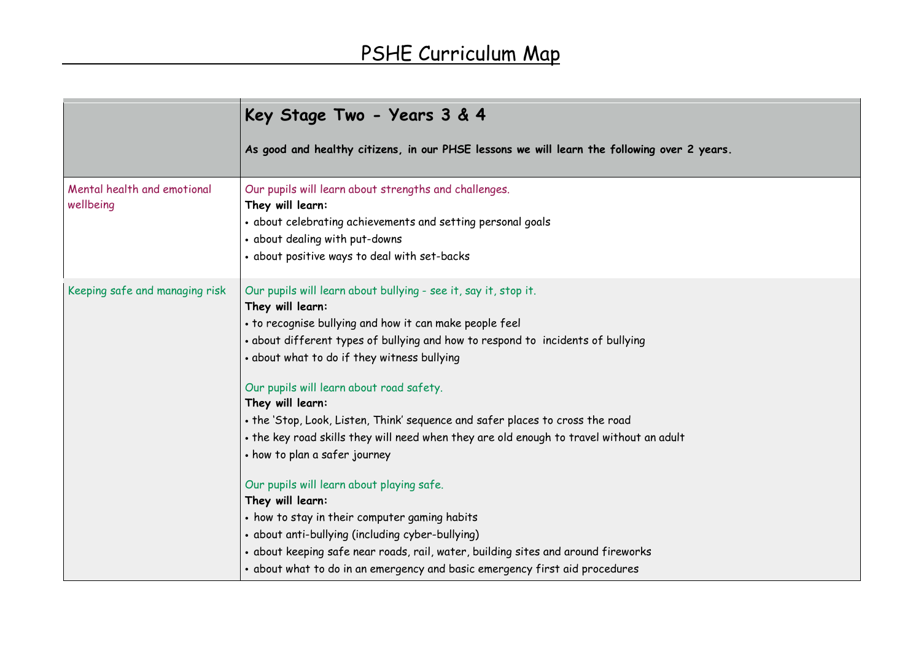|                                          | Key Stage Two - Years 3 & 4                                                                                                                                                                                                                                                                                                                                                                                                                                                                                                                                                                                                                                                                                                                                                                                                                                                                              |
|------------------------------------------|----------------------------------------------------------------------------------------------------------------------------------------------------------------------------------------------------------------------------------------------------------------------------------------------------------------------------------------------------------------------------------------------------------------------------------------------------------------------------------------------------------------------------------------------------------------------------------------------------------------------------------------------------------------------------------------------------------------------------------------------------------------------------------------------------------------------------------------------------------------------------------------------------------|
|                                          | As good and healthy citizens, in our PHSE lessons we will learn the following over 2 years.                                                                                                                                                                                                                                                                                                                                                                                                                                                                                                                                                                                                                                                                                                                                                                                                              |
| Mental health and emotional<br>wellbeing | Our pupils will learn about strengths and challenges.<br>They will learn:<br>• about celebrating achievements and setting personal goals<br>• about dealing with put-downs<br>· about positive ways to deal with set-backs                                                                                                                                                                                                                                                                                                                                                                                                                                                                                                                                                                                                                                                                               |
| Keeping safe and managing risk           | Our pupils will learn about bullying - see it, say it, stop it.<br>They will learn:<br>• to recognise bullying and how it can make people feel<br>• about different types of bullying and how to respond to incidents of bullying<br>• about what to do if they witness bullying<br>Our pupils will learn about road safety.<br>They will learn:<br>• the 'Stop, Look, Listen, Think' sequence and safer places to cross the road<br>. the key road skills they will need when they are old enough to travel without an adult<br>• how to plan a safer journey<br>Our pupils will learn about playing safe.<br>They will learn:<br>• how to stay in their computer gaming habits<br>• about anti-bullying (including cyber-bullying)<br>· about keeping safe near roads, rail, water, building sites and around fireworks<br>• about what to do in an emergency and basic emergency first aid procedures |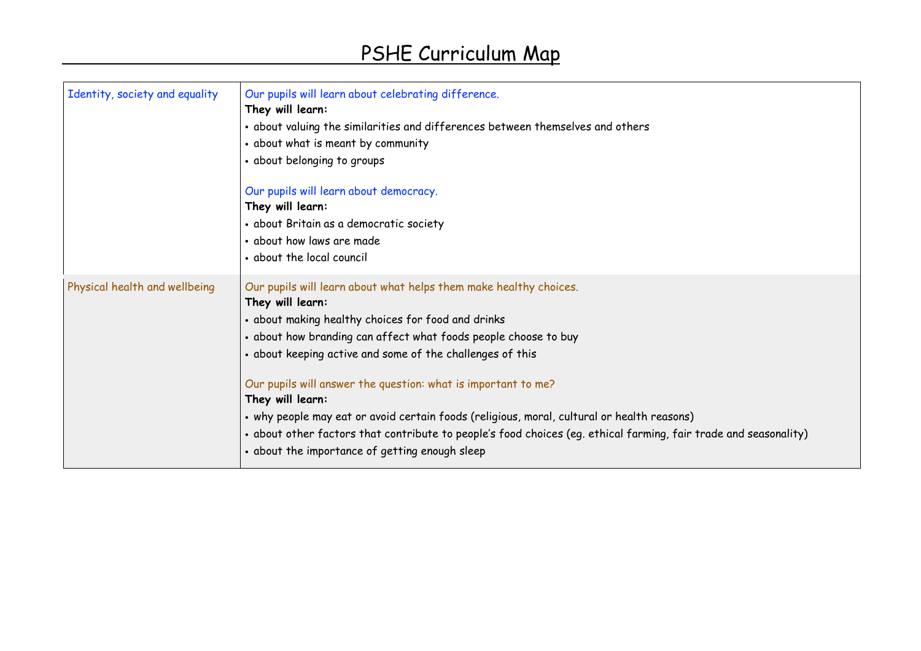| Identity, society and equality | Our pupils will learn about celebrating difference.<br>They will learn:<br>• about valuing the similarities and differences between themselves and others<br>• about what is meant by community<br>• about belonging to groups                                                                                                                                                                                                                                                                                                                                                                                                       |
|--------------------------------|--------------------------------------------------------------------------------------------------------------------------------------------------------------------------------------------------------------------------------------------------------------------------------------------------------------------------------------------------------------------------------------------------------------------------------------------------------------------------------------------------------------------------------------------------------------------------------------------------------------------------------------|
|                                | Our pupils will learn about democracy.<br>They will learn:<br>· about Britain as a democratic society                                                                                                                                                                                                                                                                                                                                                                                                                                                                                                                                |
|                                | • about how laws are made<br>• about the local council                                                                                                                                                                                                                                                                                                                                                                                                                                                                                                                                                                               |
| Physical health and wellbeing  | Our pupils will learn about what helps them make healthy choices.<br>They will learn:<br>• about making healthy choices for food and drinks<br>• about how branding can affect what foods people choose to buy<br>• about keeping active and some of the challenges of this<br>Our pupils will answer the question: what is important to me?<br>They will learn:<br>• why people may eat or avoid certain foods (religious, moral, cultural or health reasons)<br>• about other factors that contribute to people's food choices (eg. ethical farming, fair trade and seasonality)<br>• about the importance of getting enough sleep |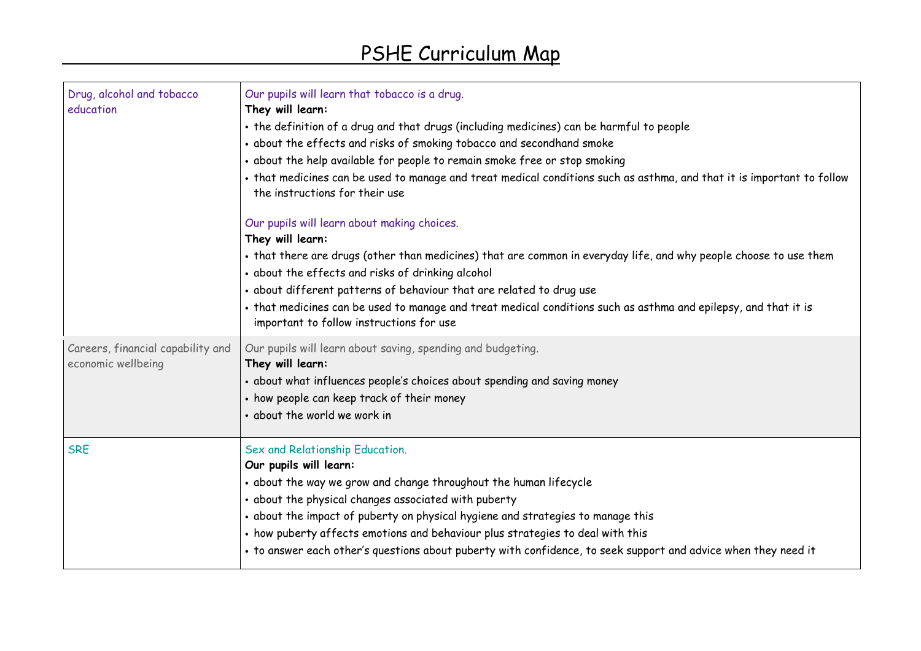| Drug, alcohol and tobacco<br>education                  | Our pupils will learn that tobacco is a drug.<br>They will learn:<br>• the definition of a drug and that drugs (including medicines) can be harmful to people<br>• about the effects and risks of smoking tobacco and secondhand smoke<br>· about the help available for people to remain smoke free or stop smoking<br>• that medicines can be used to manage and treat medical conditions such as asthma, and that it is important to follow<br>the instructions for their use |
|---------------------------------------------------------|----------------------------------------------------------------------------------------------------------------------------------------------------------------------------------------------------------------------------------------------------------------------------------------------------------------------------------------------------------------------------------------------------------------------------------------------------------------------------------|
|                                                         | Our pupils will learn about making choices.<br>They will learn:<br>• that there are drugs (other than medicines) that are common in everyday life, and why people choose to use them<br>• about the effects and risks of drinking alcohol<br>· about different patterns of behaviour that are related to drug use<br>. that medicines can be used to manage and treat medical conditions such as asthma and epilepsy, and that it is<br>important to follow instructions for use |
| Careers, financial capability and<br>economic wellbeing | Our pupils will learn about saving, spending and budgeting.<br>They will learn:<br>· about what influences people's choices about spending and saving money<br>• how people can keep track of their money<br>• about the world we work in                                                                                                                                                                                                                                        |
| <b>SRE</b>                                              | Sex and Relationship Education.<br>Our pupils will learn:<br>· about the way we grow and change throughout the human lifecycle<br>· about the physical changes associated with puberty<br>· about the impact of puberty on physical hygiene and strategies to manage this<br>• how puberty affects emotions and behaviour plus strategies to deal with this<br>• to answer each other's questions about puberty with confidence, to seek support and advice when they need it    |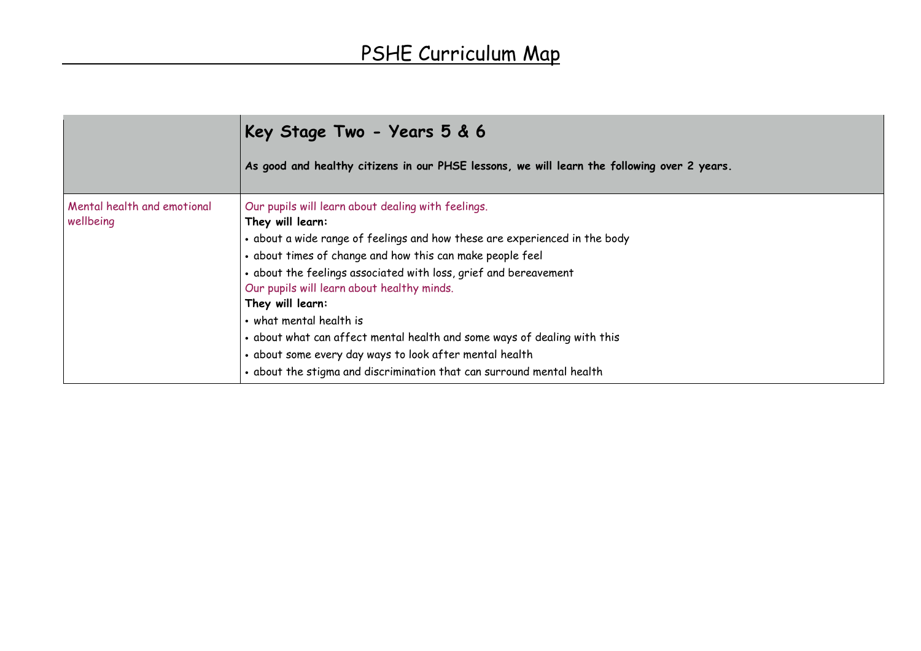|                                          | Key Stage Two - Years 5 & 6                                                                                                                                                                                                                                                                                                                                                                                                                                                                                                                                                                        |
|------------------------------------------|----------------------------------------------------------------------------------------------------------------------------------------------------------------------------------------------------------------------------------------------------------------------------------------------------------------------------------------------------------------------------------------------------------------------------------------------------------------------------------------------------------------------------------------------------------------------------------------------------|
|                                          | As good and healthy citizens in our PHSE lessons, we will learn the following over 2 years.                                                                                                                                                                                                                                                                                                                                                                                                                                                                                                        |
| Mental health and emotional<br>wellbeing | Our pupils will learn about dealing with feelings.<br>They will learn:<br>• about a wide range of feelings and how these are experienced in the body<br>• about times of change and how this can make people feel<br>• about the feelings associated with loss, grief and bereavement<br>Our pupils will learn about healthy minds.<br>They will learn:<br>• what mental health is<br>• about what can affect mental health and some ways of dealing with this<br>· about some every day ways to look after mental health<br>. about the stigma and discrimination that can surround mental health |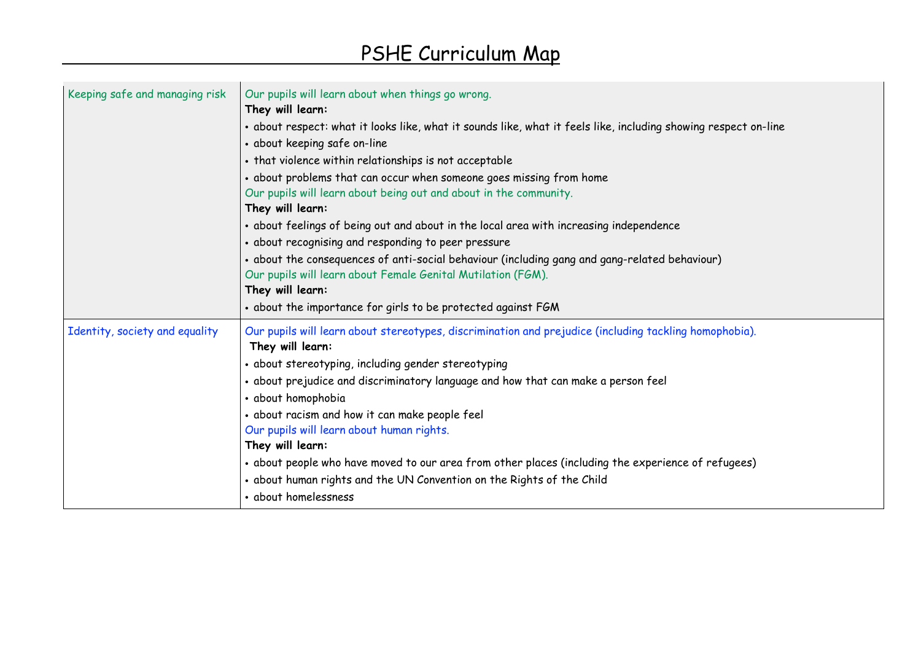| Keeping safe and managing risk | Our pupils will learn about when things go wrong.<br>They will learn:<br>• about respect: what it looks like, what it sounds like, what it feels like, including showing respect on-line<br>• about keeping safe on-line<br>• that violence within relationships is not acceptable<br>• about problems that can occur when someone goes missing from home<br>Our pupils will learn about being out and about in the community.<br>They will learn:<br>• about feelings of being out and about in the local area with increasing independence<br>• about recognising and responding to peer pressure<br>• about the consequences of anti-social behaviour (including gang and gang-related behaviour)<br>Our pupils will learn about Female Genital Mutilation (FGM).<br>They will learn:<br>• about the importance for girls to be protected against FGM |
|--------------------------------|----------------------------------------------------------------------------------------------------------------------------------------------------------------------------------------------------------------------------------------------------------------------------------------------------------------------------------------------------------------------------------------------------------------------------------------------------------------------------------------------------------------------------------------------------------------------------------------------------------------------------------------------------------------------------------------------------------------------------------------------------------------------------------------------------------------------------------------------------------|
| Identity, society and equality | Our pupils will learn about stereotypes, discrimination and prejudice (including tackling homophobia).<br>They will learn:<br>• about stereotyping, including gender stereotyping<br>• about prejudice and discriminatory language and how that can make a person feel<br>· about homophobia<br>· about racism and how it can make people feel<br>Our pupils will learn about human rights.<br>They will learn:<br>• about people who have moved to our area from other places (including the experience of refugees)<br>. about human rights and the UN Convention on the Rights of the Child<br>• about homelessness                                                                                                                                                                                                                                   |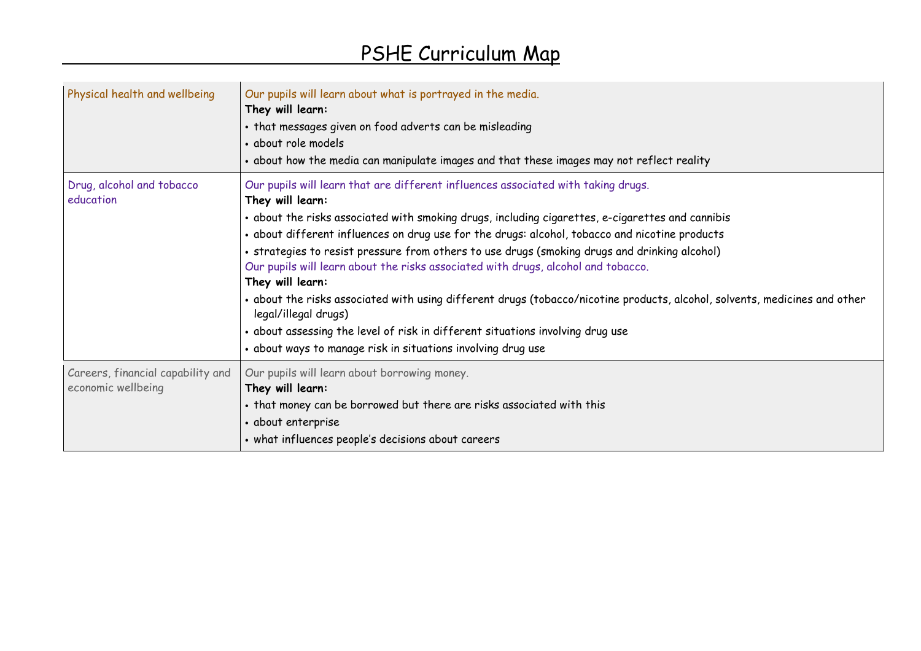| Physical health and wellbeing                           | Our pupils will learn about what is portrayed in the media.<br>They will learn:<br>• that messages given on food adverts can be misleading<br>• about role models<br>• about how the media can manipulate images and that these images may not reflect reality                                                                                                                                                                                                                                                                                                                                                                                                                                                                                                                                                                |
|---------------------------------------------------------|-------------------------------------------------------------------------------------------------------------------------------------------------------------------------------------------------------------------------------------------------------------------------------------------------------------------------------------------------------------------------------------------------------------------------------------------------------------------------------------------------------------------------------------------------------------------------------------------------------------------------------------------------------------------------------------------------------------------------------------------------------------------------------------------------------------------------------|
| Drug, alcohol and tobacco<br>education                  | Our pupils will learn that are different influences associated with taking drugs.<br>They will learn:<br>• about the risks associated with smoking drugs, including cigarettes, e-cigarettes and cannibis<br>· about different influences on drug use for the drugs: alcohol, tobacco and nicotine products<br>• strategies to resist pressure from others to use drugs (smoking drugs and drinking alcohol)<br>Our pupils will learn about the risks associated with drugs, alcohol and tobacco.<br>They will learn:<br>· about the risks associated with using different drugs (tobacco/nicotine products, alcohol, solvents, medicines and other<br>legal/illegal drugs)<br>• about assessing the level of risk in different situations involving drug use<br>• about ways to manage risk in situations involving drug use |
| Careers, financial capability and<br>economic wellbeing | Our pupils will learn about borrowing money.<br>They will learn:<br>• that money can be borrowed but there are risks associated with this<br>• about enterprise<br>• what influences people's decisions about careers                                                                                                                                                                                                                                                                                                                                                                                                                                                                                                                                                                                                         |